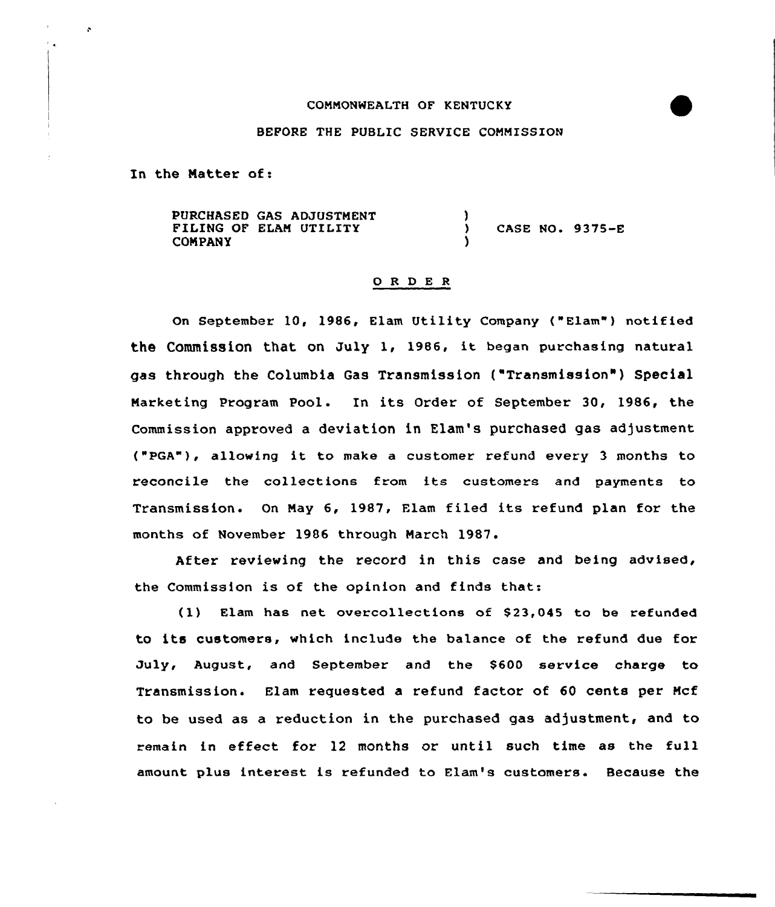## COMMONWEALTH OF KENTUCKY

## BEFORE THE PUBLIC SERVICE COMMISSION

In the Natter of:

ç,

 $\mathbb{Z}_{\geq 0}$ 

PURCHASED GAS ADJUSTMENT FILING OF ELAN UTILITY COMPANY  $\frac{1}{2}$ ) CASE NO. 9375-E )

## 0 <sup>R</sup> <sup>D</sup> E <sup>R</sup>

On September 10, 1986, Elam Utility Company ("Elam") notified the Commission that on July 1, 1986, it began purchasing natural gas through the Columbia Gas Transmission ("Transmission" ) Special Marketing Program Pool. In its Order of September 30, 1986, the Commission approved a deviation in Elam's purchased gas adjustment ("PGA"), allowing it to make <sup>a</sup> customer refund every <sup>3</sup> months to reconcile the collections from its customers and payments to Transmission. On May 6, 1987, Flam filed its refund plan for the months of November 1986 through March 1987.

After reviewing the record in this case and being advised, the Commission is of the opinion and finds that:

(1) Elam has net overcollections of \$23,045 to be refunded to its customers, which include the balance of the refund due for July, August, and September and the \$600 service charge to Transmission. Elam requested a refund factor of 60 cents per Ncf to be used as a reduction in the purchased gas adjustment, and to remain in effect for 12 months or until such time as the full amount plus interest is refunded to Elam's customers. Because the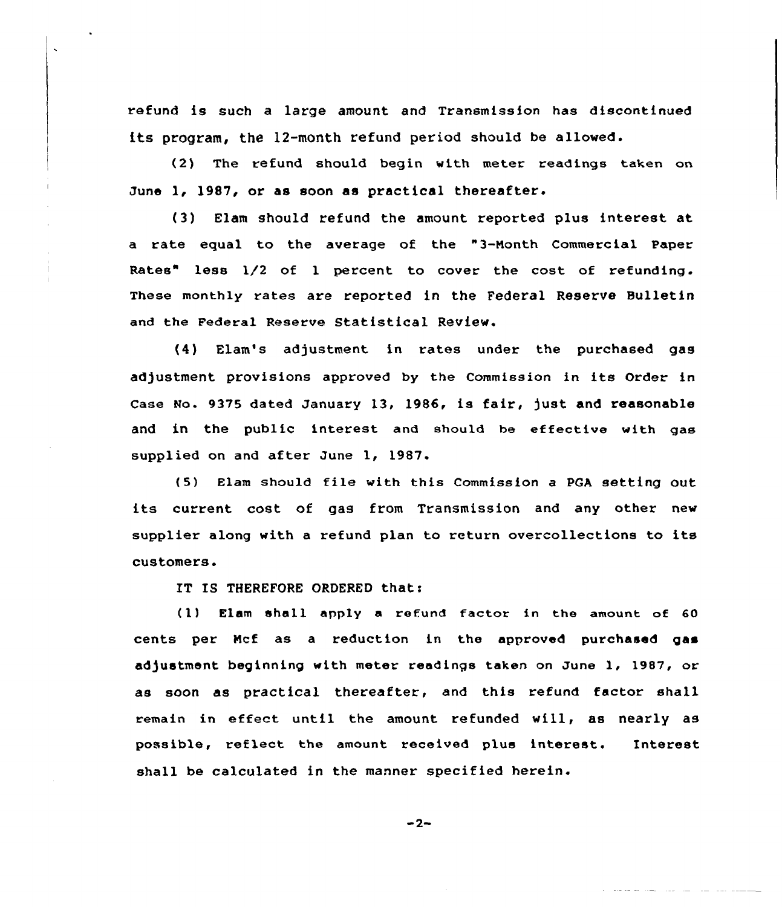refund is such a large amount and Transmission has discontinued its program, the 12-month refund period should be allowed.

(2) The refund should begin with meter readings taken on June l, 1987, or as soon as practical thereafter.

(3) Elam should refund the amount reported plus interest at a rate equal to the average of the "3-Month Commercial Paper Rates" less 1/2 of 1 percent to cover the cost of refunding. These monthly rates are reported in the Federal Reserve Bulletin and the Federal Reserve Statistical Review.

(4) Elam's adjustment in rates under the purchased gas adjustment provisions approved by the Commission in its Order in Case No. 9375 dated January 13, 1986, is fair, )ust and reasonable and in the public interest and should be effective with gas supplied on and after June 1, 1987.

(5) Elam should file with this Commission <sup>a</sup> PGA setting out its current cost of gas from Transmission and any other new supplier along with a refund plan to return overcollections to its customers.

IT IS THEREFORE ORDERED that:

(1) Elam shell app1y a refund factor in the amount of 60 cents per Hcf as a reduction in the approved purchased gas adjustment beginning with meter readings taken on June 1, 1987, or as soon as practical thereafter, and this refund factor shall remain in effect until the amount. refunded will, as nearly as possible, reflect the amount received plus interest. Interest shall be calculated in the manner specified herein.

$$
-2-
$$